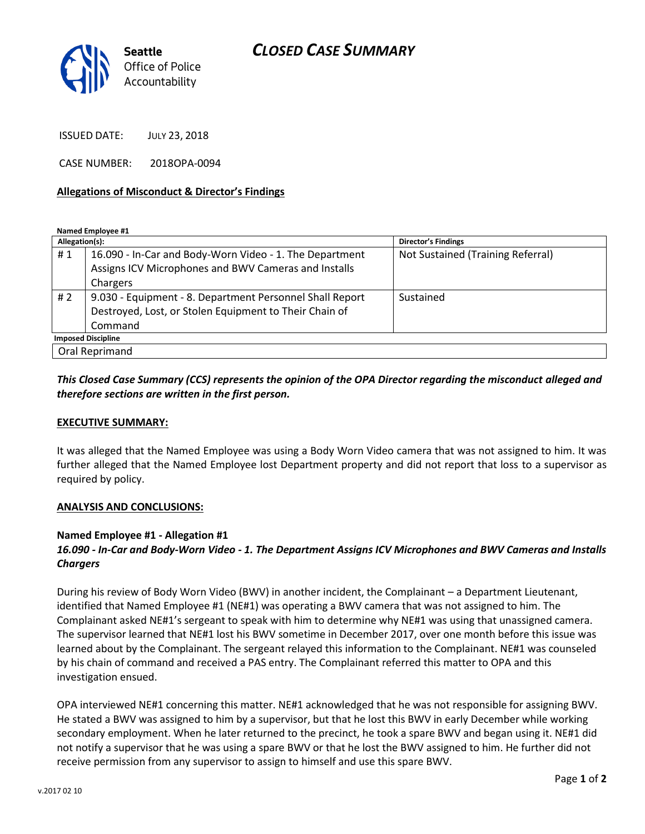

ISSUED DATE: JULY 23, 2018

CASE NUMBER: 2018OPA-0094

#### **Allegations of Misconduct & Director's Findings**

**Named Employee #1**

| Allegation(s):            |                                                          | <b>Director's Findings</b>        |
|---------------------------|----------------------------------------------------------|-----------------------------------|
| #1                        | 16.090 - In-Car and Body-Worn Video - 1. The Department  | Not Sustained (Training Referral) |
|                           | Assigns ICV Microphones and BWV Cameras and Installs     |                                   |
|                           | Chargers                                                 |                                   |
| #2                        | 9.030 - Equipment - 8. Department Personnel Shall Report | Sustained                         |
|                           | Destroyed, Lost, or Stolen Equipment to Their Chain of   |                                   |
|                           | Command                                                  |                                   |
| <b>Imposed Discipline</b> |                                                          |                                   |
| Oral Reprimand            |                                                          |                                   |

## *This Closed Case Summary (CCS) represents the opinion of the OPA Director regarding the misconduct alleged and therefore sections are written in the first person.*

#### **EXECUTIVE SUMMARY:**

It was alleged that the Named Employee was using a Body Worn Video camera that was not assigned to him. It was further alleged that the Named Employee lost Department property and did not report that loss to a supervisor as required by policy.

#### **ANALYSIS AND CONCLUSIONS:**

### **Named Employee #1 - Allegation #1**

# *16.090 - In-Car and Body-Worn Video - 1. The Department Assigns ICV Microphones and BWV Cameras and Installs Chargers*

During his review of Body Worn Video (BWV) in another incident, the Complainant – a Department Lieutenant, identified that Named Employee #1 (NE#1) was operating a BWV camera that was not assigned to him. The Complainant asked NE#1's sergeant to speak with him to determine why NE#1 was using that unassigned camera. The supervisor learned that NE#1 lost his BWV sometime in December 2017, over one month before this issue was learned about by the Complainant. The sergeant relayed this information to the Complainant. NE#1 was counseled by his chain of command and received a PAS entry. The Complainant referred this matter to OPA and this investigation ensued.

OPA interviewed NE#1 concerning this matter. NE#1 acknowledged that he was not responsible for assigning BWV. He stated a BWV was assigned to him by a supervisor, but that he lost this BWV in early December while working secondary employment. When he later returned to the precinct, he took a spare BWV and began using it. NE#1 did not notify a supervisor that he was using a spare BWV or that he lost the BWV assigned to him. He further did not receive permission from any supervisor to assign to himself and use this spare BWV.